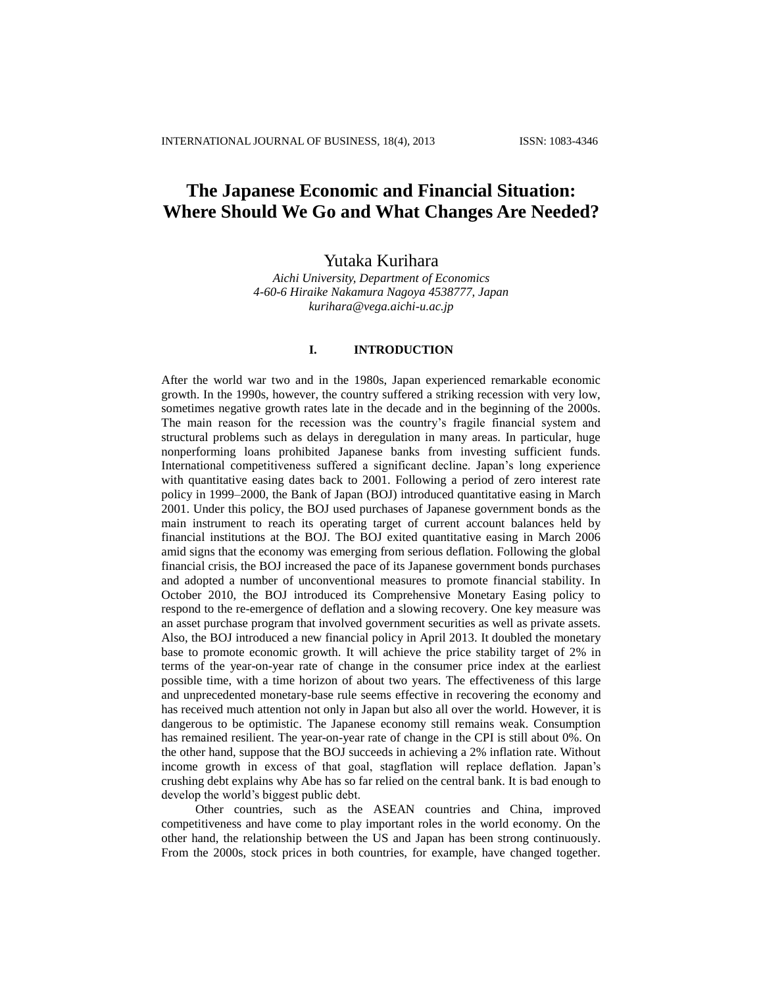# **The Japanese Economic and Financial Situation: Where Should We Go and What Changes Are Needed?**

# Yutaka Kurihara

*Aichi University, Department of Economics 4-60-6 Hiraike Nakamura Nagoya 4538777, Japan kurihara@vega.aichi-u.ac.jp*

#### **I. INTRODUCTION**

After the world war two and in the 1980s, Japan experienced remarkable economic growth. In the 1990s, however, the country suffered a striking recession with very low, sometimes negative growth rates late in the decade and in the beginning of the 2000s. The main reason for the recession was the country's fragile financial system and structural problems such as delays in deregulation in many areas. In particular, huge nonperforming loans prohibited Japanese banks from investing sufficient funds. International competitiveness suffered a significant decline. Japan's long experience with quantitative easing dates back to 2001. Following a period of zero interest rate policy in 1999–2000, the Bank of Japan (BOJ) introduced quantitative easing in March 2001. Under this policy, the BOJ used purchases of Japanese government bonds as the main instrument to reach its operating target of current account balances held by financial institutions at the BOJ. The BOJ exited quantitative easing in March 2006 amid signs that the economy was emerging from serious deflation. Following the global financial crisis, the BOJ increased the pace of its Japanese government bonds purchases and adopted a number of unconventional measures to promote financial stability. In October 2010, the BOJ introduced its Comprehensive Monetary Easing policy to respond to the re-emergence of deflation and a slowing recovery. One key measure was an asset purchase program that involved government securities as well as private assets. Also, the BOJ introduced a new financial policy in April 2013. It doubled the monetary base to promote economic growth. It will achieve the price stability target of 2% in terms of the year-on-year rate of change in the consumer price index at the earliest possible time, with a time horizon of about two years. The effectiveness of this large and unprecedented monetary-base rule seems effective in recovering the economy and has received much attention not only in Japan but also all over the world. However, it is dangerous to be optimistic. The Japanese economy still remains weak. Consumption has remained resilient. The year-on-year rate of change in the CPI is still about 0%. On the other hand, suppose that the BOJ succeeds in achieving a 2% inflation rate. Without income growth in excess of that goal, stagflation will replace deflation. Japan's crushing debt explains why Abe has so far relied on the central bank. It is bad enough to develop the world's biggest public debt.

Other countries, such as the ASEAN countries and China, improved competitiveness and have come to play important roles in the world economy. On the other hand, the relationship between the US and Japan has been strong continuously. From the 2000s, stock prices in both countries, for example, have changed together.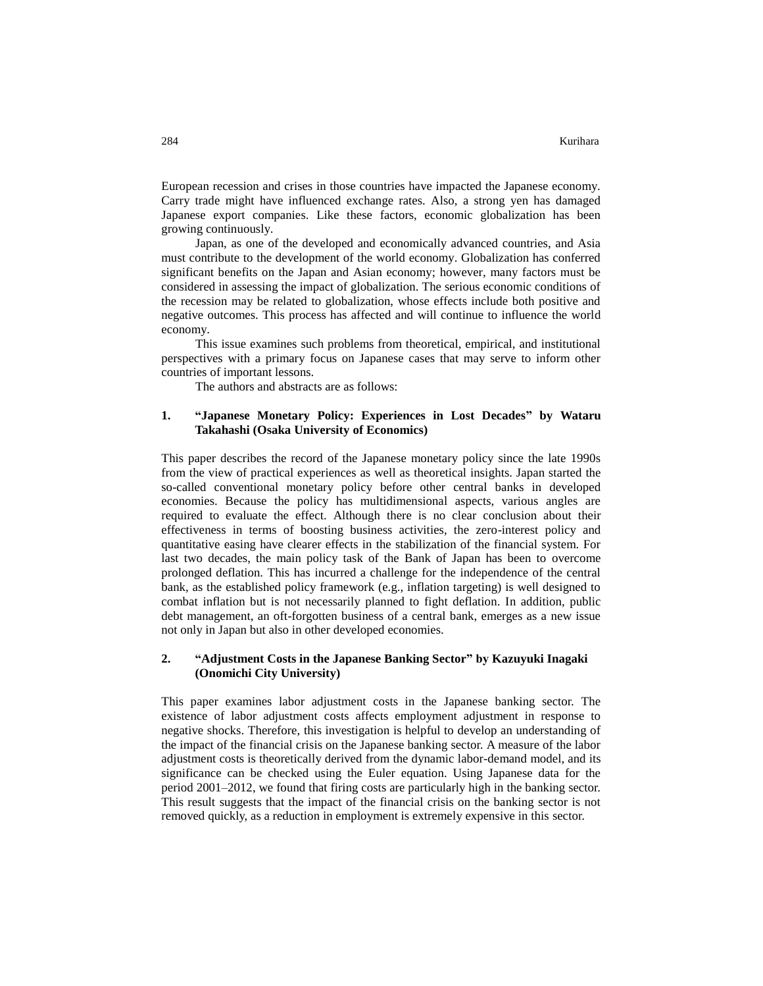European recession and crises in those countries have impacted the Japanese economy. Carry trade might have influenced exchange rates. Also, a strong yen has damaged Japanese export companies. Like these factors, economic globalization has been growing continuously.

Japan, as one of the developed and economically advanced countries, and Asia must contribute to the development of the world economy. Globalization has conferred significant benefits on the Japan and Asian economy; however, many factors must be considered in assessing the impact of globalization. The serious economic conditions of the recession may be related to globalization, whose effects include both positive and negative outcomes. This process has affected and will continue to influence the world economy.

This issue examines such problems from theoretical, empirical, and institutional perspectives with a primary focus on Japanese cases that may serve to inform other countries of important lessons.

The authors and abstracts are as follows:

#### **1. "Japanese Monetary Policy: Experiences in Lost Decades" by Wataru Takahashi (Osaka University of Economics)**

This paper describes the record of the Japanese monetary policy since the late 1990s from the view of practical experiences as well as theoretical insights. Japan started the so-called conventional monetary policy before other central banks in developed economies. Because the policy has multidimensional aspects, various angles are required to evaluate the effect. Although there is no clear conclusion about their effectiveness in terms of boosting business activities, the zero-interest policy and quantitative easing have clearer effects in the stabilization of the financial system. For last two decades, the main policy task of the Bank of Japan has been to overcome prolonged deflation. This has incurred a challenge for the independence of the central bank, as the established policy framework (e.g., inflation targeting) is well designed to combat inflation but is not necessarily planned to fight deflation. In addition, public debt management, an oft-forgotten business of a central bank, emerges as a new issue not only in Japan but also in other developed economies.

#### **2. "Adjustment Costs in the Japanese Banking Sector" by Kazuyuki Inagaki (Onomichi City University)**

This paper examines labor adjustment costs in the Japanese banking sector. The existence of labor adjustment costs affects employment adjustment in response to negative shocks. Therefore, this investigation is helpful to develop an understanding of the impact of the financial crisis on the Japanese banking sector. A measure of the labor adjustment costs is theoretically derived from the dynamic labor-demand model, and its significance can be checked using the Euler equation. Using Japanese data for the period 2001–2012, we found that firing costs are particularly high in the banking sector. This result suggests that the impact of the financial crisis on the banking sector is not removed quickly, as a reduction in employment is extremely expensive in this sector.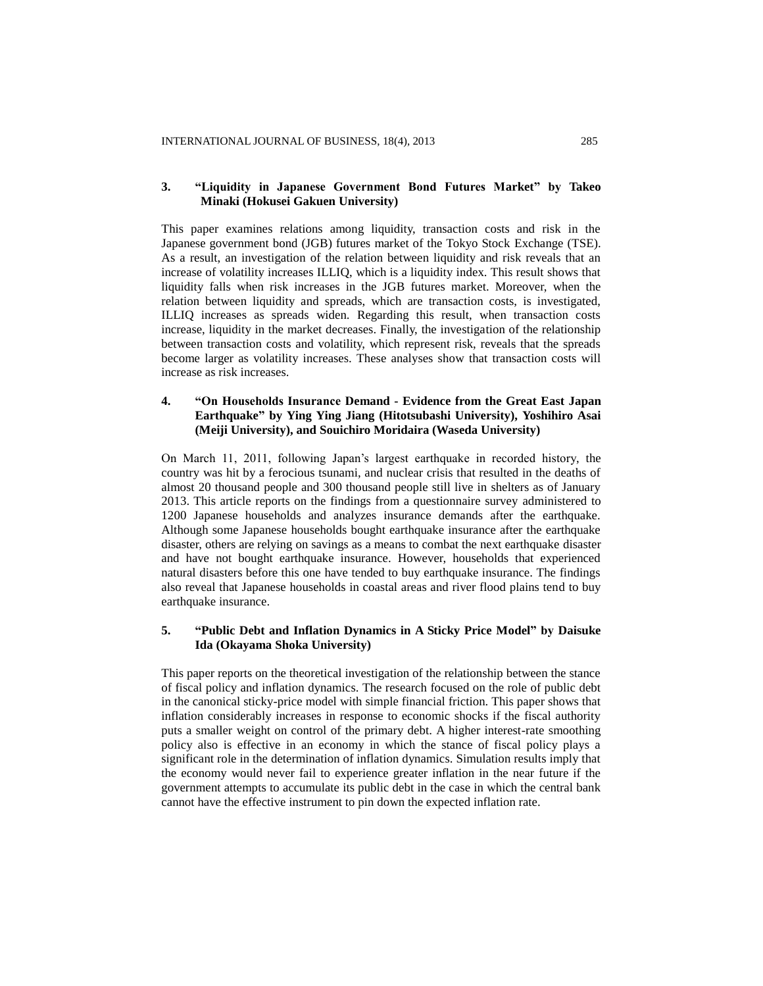#### **3. "Liquidity in Japanese Government Bond Futures Market" by Takeo Minaki (Hokusei Gakuen University)**

This paper examines relations among liquidity, transaction costs and risk in the Japanese government bond (JGB) futures market of the Tokyo Stock Exchange (TSE). As a result, an investigation of the relation between liquidity and risk reveals that an increase of volatility increases ILLIQ, which is a liquidity index. This result shows that liquidity falls when risk increases in the JGB futures market. Moreover, when the relation between liquidity and spreads, which are transaction costs, is investigated, ILLIQ increases as spreads widen. Regarding this result, when transaction costs increase, liquidity in the market decreases. Finally, the investigation of the relationship between transaction costs and volatility, which represent risk, reveals that the spreads become larger as volatility increases. These analyses show that transaction costs will increase as risk increases.

## **4. "On Households Insurance Demand - Evidence from the Great East Japan Earthquake" by Ying Ying Jiang (Hitotsubashi University), Yoshihiro Asai (Meiji University), and Souichiro Moridaira (Waseda University)**

On March 11, 2011, following Japan's largest earthquake in recorded history, the country was hit by a ferocious tsunami, and nuclear crisis that resulted in the deaths of almost 20 thousand people and 300 thousand people still live in shelters as of January 2013. This article reports on the findings from a questionnaire survey administered to 1200 Japanese households and analyzes insurance demands after the earthquake. Although some Japanese households bought earthquake insurance after the earthquake disaster, others are relying on savings as a means to combat the next earthquake disaster and have not bought earthquake insurance. However, households that experienced natural disasters before this one have tended to buy earthquake insurance. The findings also reveal that Japanese households in coastal areas and river flood plains tend to buy earthquake insurance.

## **5. "Public Debt and Inflation Dynamics in A Sticky Price Model" by Daisuke Ida (Okayama Shoka University)**

This paper reports on the theoretical investigation of the relationship between the stance of fiscal policy and inflation dynamics. The research focused on the role of public debt in the canonical sticky-price model with simple financial friction. This paper shows that inflation considerably increases in response to economic shocks if the fiscal authority puts a smaller weight on control of the primary debt. A higher interest-rate smoothing policy also is effective in an economy in which the stance of fiscal policy plays a significant role in the determination of inflation dynamics. Simulation results imply that the economy would never fail to experience greater inflation in the near future if the government attempts to accumulate its public debt in the case in which the central bank cannot have the effective instrument to pin down the expected inflation rate.